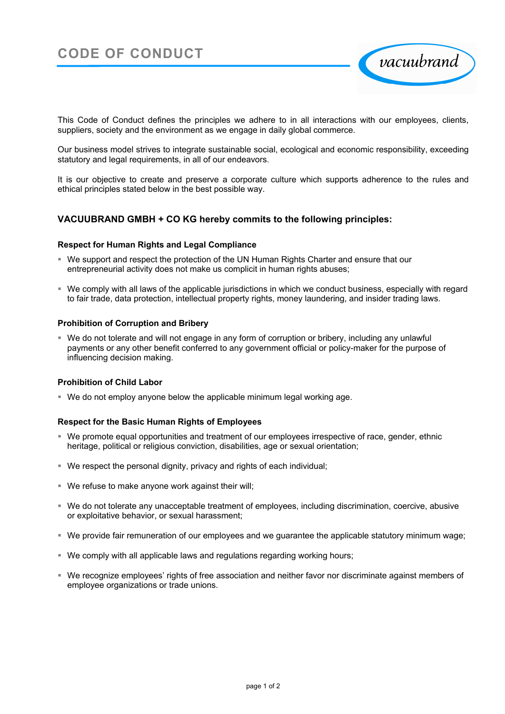

This Code of Conduct defines the principles we adhere to in all interactions with our employees, clients, suppliers, society and the environment as we engage in daily global commerce.

Our business model strives to integrate sustainable social, ecological and economic responsibility, exceeding statutory and legal requirements, in all of our endeavors.

It is our objective to create and preserve a corporate culture which supports adherence to the rules and ethical principles stated below in the best possible way.

# **VACUUBRAND GMBH + CO KG hereby commits to the following principles:**

### **Respect for Human Rights and Legal Compliance**

- We support and respect the protection of the UN Human Rights Charter and ensure that our entrepreneurial activity does not make us complicit in human rights abuses;
- We comply with all laws of the applicable jurisdictions in which we conduct business, especially with regard to fair trade, data protection, intellectual property rights, money laundering, and insider trading laws.

### **Prohibition of Corruption and Bribery**

 We do not tolerate and will not engage in any form of corruption or bribery, including any unlawful payments or any other benefit conferred to any government official or policy-maker for the purpose of influencing decision making.

### **Prohibition of Child Labor**

We do not employ anyone below the applicable minimum legal working age.

## **Respect for the Basic Human Rights of Employees**

- We promote equal opportunities and treatment of our employees irrespective of race, gender, ethnic heritage, political or religious conviction, disabilities, age or sexual orientation;
- We respect the personal dignity, privacy and rights of each individual;
- We refuse to make anyone work against their will:
- We do not tolerate any unacceptable treatment of employees, including discrimination, coercive, abusive or exploitative behavior, or sexual harassment;
- We provide fair remuneration of our employees and we guarantee the applicable statutory minimum wage;
- We comply with all applicable laws and regulations regarding working hours;
- We recognize employees' rights of free association and neither favor nor discriminate against members of employee organizations or trade unions.